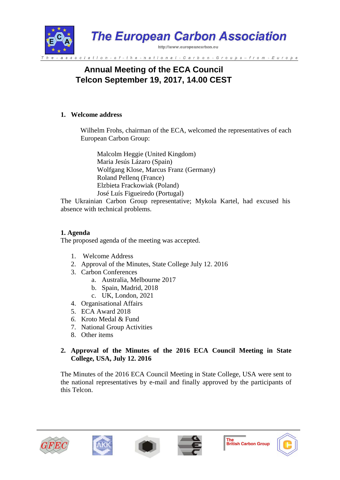

# **Annual Meeting of the ECA Council Telcon September 19, 2017, 14.00 CEST**

## **1. Welcome address**

Wilhelm Frohs, chairman of the ECA, welcomed the representatives of each European Carbon Group:

Malcolm Heggie (United Kingdom) Maria Jesús Lázaro (Spain) Wolfgang Klose, Marcus Franz (Germany) Roland Pellenq (France) Elzbieta Frackowiak (Poland) José Luís Figueiredo (Portugal)

The Ukrainian Carbon Group representative; Mykola Kartel, had excused his absence with technical problems.

## **1. Agenda**

The proposed agenda of the meeting was accepted.

- 1. Welcome Address
- 2. Approval of the Minutes, State College July 12. 2016
- 3. Carbon Conferences
	- a. Australia, Melbourne 2017
	- b. Spain, Madrid, 2018
	- c. UK, London, 2021
- 4. Organisational Affairs
- 5. ECA Award 2018
- *6.* Kroto Medal & Fund
- 7. National Group Activities
- 8. Other items

## **2. Approval of the Minutes of the 2016 ECA Council Meeting in State College, USA, July 12. 2016**

The Minutes of the 2016 ECA Council Meeting in State College, USA were sent to the national representatives by e-mail and finally approved by the participants of this Telcon.









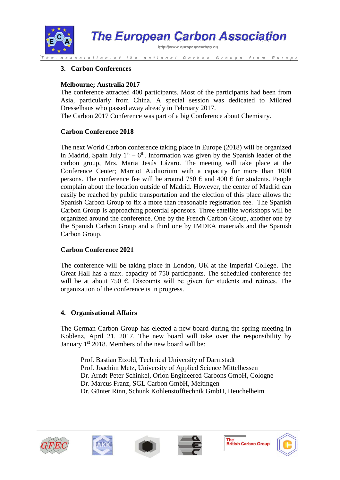**The European Carbon Association** 

http://www.europeancarbon.eu

#### **3. Carbon Conferences**

#### **Melbourne; Australia 2017**

The conference attracted 400 participants. Most of the participants had been from Asia, particularly from China. A special session was dedicated to Mildred Dresselhaus who passed away already in February 2017.

The Carbon 2017 Conference was part of a big Conference about Chemistry.

#### **Carbon Conference 2018**

The next World Carbon conference taking place in Europe (2018) will be organized in Madrid, Spain July  $1<sup>st</sup> - 6<sup>th</sup>$ . Information was given by the Spanish leader of the carbon group, Mrs. Maria Jesús Lázaro. The meeting will take place at the Conference Center; Marriot Auditorium with a capacity for more than 1000 persons. The conference fee will be around 750  $\epsilon$  and 400  $\epsilon$  for students. People complain about the location outside of Madrid. However, the center of Madrid can easily be reached by public transportation and the election of this place allows the Spanish Carbon Group to fix a more than reasonable registration fee. The Spanish Carbon Group is approaching potential sponsors. Three satellite workshops will be organized around the conference. One by the French Carbon Group, another one by the Spanish Carbon Group and a third one by IMDEA materials and the Spanish Carbon Group.

#### **Carbon Conference 2021**

The conference will be taking place in London, UK at the Imperial College. The Great Hall has a max. capacity of 750 participants. The scheduled conference fee will be at about 750  $\epsilon$ . Discounts will be given for students and retirees. The organization of the conference is in progress.

#### **4. Organisational Affairs**

The German Carbon Group has elected a new board during the spring meeting in Koblenz, April 21. 2017. The new board will take over the responsibility by January 1<sup>st</sup> 2018. Members of the new board will be:

Prof. Bastian Etzold, Technical University of Darmstadt Prof. Joachim Metz, University of Applied Science Mittelhessen Dr. Arndt-Peter Schinkel, Orion Engineered Carbons GmbH, Cologne Dr. Marcus Franz, SGL Carbon GmbH, Meitingen Dr. Günter Rinn, Schunk Kohlenstofftechnik GmbH, Heuchelheim









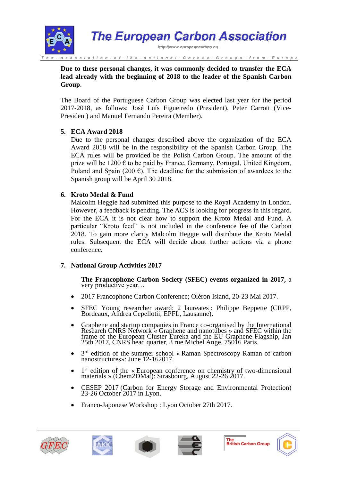

**Due to these personal changes, it was commonly decided to transfer the ECA lead already with the beginning of 2018 to the leader of the Spanish Carbon Group**.

The Board of the Portuguese Carbon Group was elected last year for the period 2017-2018, as follows: José Luís Figueiredo (President), Peter Carrott (Vice-President) and Manuel Fernando Pereira (Member).

### **5. ECA Award 2018**

Due to the personal changes described above the organization of the ECA Award 2018 will be in the responsibility of the Spanish Carbon Group. The ECA rules will be provided be the Polish Carbon Group. The amount of the prize will be  $1200 \in \mathfrak{b}$  to be paid by France, Germany, Portugal, United Kingdom, Poland and Spain (200  $\epsilon$ ). The deadline for the submission of awardees to the Spanish group will be April 30 2018.

### **6. Kroto Medal & Fund**

Malcolm Heggie had submitted this purpose to the Royal Academy in London. However, a feedback is pending. The ACS is looking for progress in this regard. For the ECA it is not clear how to support the Kroto Medal and Fund. A particular "Kroto feed" is not included in the conference fee of the Carbon 2018. To gain more clarity Malcolm Heggie will distribute the Kroto Medal rules. Subsequent the ECA will decide about further actions via a phone conference.

### **7. National Group Activities 2017**

#### **The Francophone Carbon Society (SFEC) events organized in 2017,** a very productive year…

- 2017 Francophone Carbon Conference; Oléron Island, 20-23 Mai 2017.
- SFEC Young researcher award: 2 laureates : Philippe Beppette (CRPP, Bordeaux, Andrea Cepellotii, EPFL, Lausanne).
- Graphene and startup companies in France co-organised by the International Research CNRS Network « Graphene and nanotubes » and SFEC within the frame of the European Cluster Eureka and the EU Graphene Flagship, Jan 25th 2017, CNRS head quarter, 3 rue Michel Ange, 75016 Paris.
- 3<sup>rd</sup> edition of the summer school « Raman Spectroscopy Raman of carbon nanostructures»: June 12-162017.
- $\bullet$  1<sup>st</sup> edition of the «European conference on chemistry of two-dimensional materials » (Chem2DMat): Strasbourg, August 22-26 2017.
- CESEP 2017 (Carbon for Energy Storage and Environmental Protection) 23-26 October 2017 in Lyon.
- Franco-Japonese Workshop : Lyon October 27th 2017.









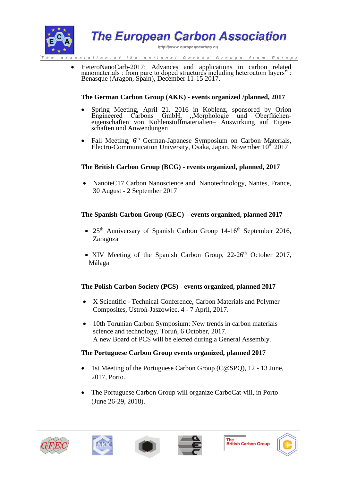

**The European Carbon Association** 

http://www.europeancarbon.eu

the - national - Carbon - Groups – from - Europe

• HeteroNanoCarb-2017: Advances and applications in carbon related nanomaterials : from pure to doped structures including heteroatom layers" : Benasque (Aragon, Spain), December 11-15 2017.

#### **The German Carbon Group (AKK) - events organized /planned, 2017**

- Spring Meeting, April 21. 2016 in Koblenz, sponsored by Orion Engineered Carbons GmbH, "Morphologie und Oberflächeneigenschaften von Kohlenstoffmaterialien– Auswirkung auf Eigenschaften und Anwendungen
- Fall Meeting, 6<sup>th</sup> German-Japanese Symposium on Carbon Materials, Electro-Communication University, Osaka, Japan, November 10th 2017

## **The British Carbon Group (BCG) - events organized, planned, 2017**

• NanoteC17 Carbon Nanoscience and Nanotechnology, Nantes, France, 30 August - 2 September 2017

### **The Spanish Carbon Group (GEC) – events organized, planned 2017**

- $25<sup>th</sup>$  Anniversary of Spanish Carbon Group 14-16<sup>th</sup> September 2016, Zaragoza
- XIV Meeting of the Spanish Carbon Group,  $22\n-26<sup>th</sup>$  October 2017, Málaga

# **The Polish Carbon Society (PCS) - events organized, planned 2017**

- X Scientific Technical Conference, Carbon Materials and Polymer Composites, Ustroń-Jaszowiec, 4 - 7 April, 2017.
- 10th Torunian Carbon Symposium: New trends in carbon materials science and technology, Toruń, 6 October, 2017. A new Board of PCS will be elected during a General Assembly.

### **The Portuguese Carbon Group events organized, planned 2017**

- 1st Meeting of the Portuguese Carbon Group (C@SPQ), 12 13 June, 2017, Porto.
- The Portuguese Carbon Group will organize CarboCat-viii, in Porto (June 26-29, 2018).